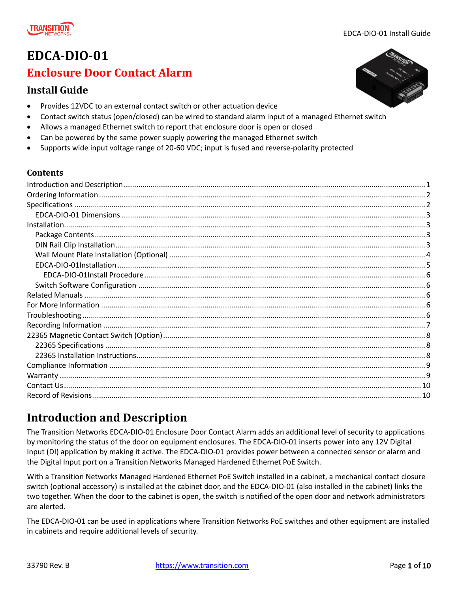

# **EDCA-DIO-01**

# **Enclosure Door Contact Alarm**

### **Install Guide**

- Provides 12VDC to an external contact switch or other actuation device
- Contact switch status (open/closed) can be wired to standard alarm input of a managed Ethernet switch
- Allows a managed Ethernet switch to report that enclosure door is open or closed
- Can be powered by the same power supply powering the managed Ethernet switch
- Supports wide input voltage range of 20-60 VDC; input is fused and reverse-polarity protected

#### **Contents**

# <span id="page-0-0"></span>**Introduction and Description**

The Transition Networks EDCA-DIO-01 Enclosure Door Contact Alarm adds an additional level of security to applications by monitoring the status of the door on equipment enclosures. The EDCA-DIO-01 inserts power into any 12V Digital Input (DI) application by making it active. The EDCA-DIO-01 provides power between a connected sensor or alarm and the Digital Input port on a Transition Networks Managed Hardened Ethernet PoE Switch.

With a Transition Networks Managed Hardened Ethernet PoE Switch installed in a cabinet, a mechanical contact closure switch (optional accessory) is installed at the cabinet door, and the EDCA-DIO-01 (also installed in the cabinet) links the two together. When the door to the cabinet is open, the switch is notified of the open door and network administrators are alerted.

The EDCA-DIO-01 can be used in applications where Transition Networks PoE switches and other equipment are installed in cabinets and require additional levels of security.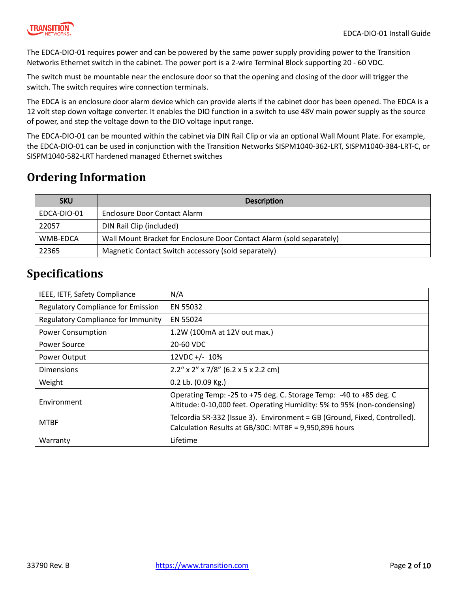

The EDCA-DIO-01 requires power and can be powered by the same power supply providing power to the Transition Networks Ethernet switch in the cabinet. The power port is a 2-wire Terminal Block supporting 20 - 60 VDC.

The switch must be mountable near the enclosure door so that the opening and closing of the door will trigger the switch. The switch requires wire connection terminals.

The EDCA is an enclosure door alarm device which can provide alerts if the cabinet door has been opened. The EDCA is a 12 volt step down voltage converter. It enables the DIO function in a switch to use 48V main power supply as the source of power, and step the voltage down to the DIO voltage input range.

The EDCA-DIO-01 can be mounted within the cabinet via DIN Rail Clip or via an optional Wall Mount Plate. For example, the EDCA-DIO-01 can be used in conjunction with the Transition Networks SISPM1040-362-LRT, SISPM1040-384-LRT-C, or SISPM1040-582-LRT hardened managed Ethernet switches

# <span id="page-1-0"></span>**Ordering Information**

| <b>SKU</b>  | <b>Description</b>                                                    |
|-------------|-----------------------------------------------------------------------|
| EDCA-DIO-01 | Enclosure Door Contact Alarm                                          |
| 22057       | DIN Rail Clip (included)                                              |
| WMB-EDCA    | Wall Mount Bracket for Enclosure Door Contact Alarm (sold separately) |
| 22365       | Magnetic Contact Switch accessory (sold separately)                   |

# <span id="page-1-1"></span>**Specifications**

| IEEE, IETF, Safety Compliance             | N/A                                                                                                                                           |
|-------------------------------------------|-----------------------------------------------------------------------------------------------------------------------------------------------|
| <b>Regulatory Compliance for Emission</b> | EN 55032                                                                                                                                      |
| Regulatory Compliance for Immunity        | EN 55024                                                                                                                                      |
| <b>Power Consumption</b>                  | 1.2W (100mA at 12V out max.)                                                                                                                  |
| Power Source                              | 20-60 VDC                                                                                                                                     |
| Power Output                              | 12VDC +/- 10%                                                                                                                                 |
| <b>Dimensions</b>                         | $2.2''$ x 2" x 7/8" (6.2 x 5 x 2.2 cm)                                                                                                        |
| Weight                                    | 0.2 Lb. (0.09 Kg.)                                                                                                                            |
| Environment                               | Operating Temp: -25 to +75 deg. C. Storage Temp: -40 to +85 deg. C<br>Altitude: 0-10,000 feet. Operating Humidity: 5% to 95% (non-condensing) |
| <b>MTBF</b>                               | Telcordia SR-332 (Issue 3). Environment = GB (Ground, Fixed, Controlled).<br>Calculation Results at GB/30C: MTBF = 9,950,896 hours            |
| Warranty                                  | Lifetime                                                                                                                                      |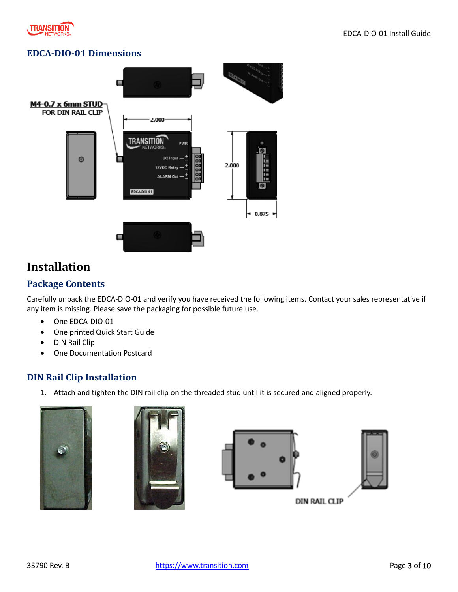

#### <span id="page-2-0"></span>**EDCA-DIO-01 Dimensions**



# <span id="page-2-1"></span>**Installation**

#### <span id="page-2-2"></span>**Package Contents**

Carefully unpack the EDCA-DIO-01 and verify you have received the following items. Contact your sales representative if any item is missing. Please save the packaging for possible future use.

- One EDCA-DIO-01
- One printed Quick Start Guide
- DIN Rail Clip
- One Documentation Postcard

#### <span id="page-2-3"></span>**DIN Rail Clip Installation**

1. Attach and tighten the DIN rail clip on the threaded stud until it is secured and aligned properly.









**DIN RAIL CLIP**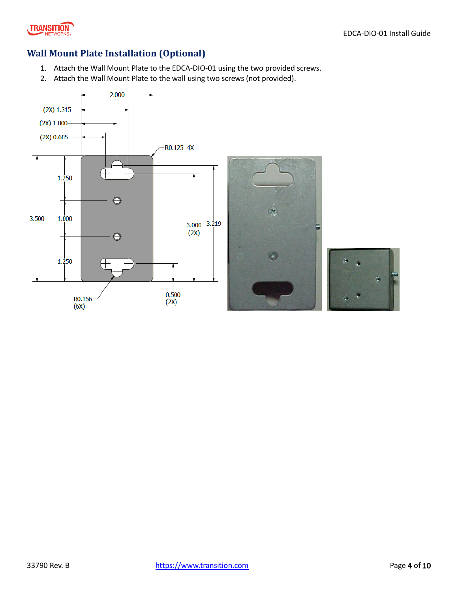

#### <span id="page-3-0"></span>**Wall Mount Plate Installation (Optional)**

- 1. Attach the Wall Mount Plate to the EDCA-DIO-01 using the two provided screws.
- 2. Attach the Wall Mount Plate to the wall using two screws (not provided).

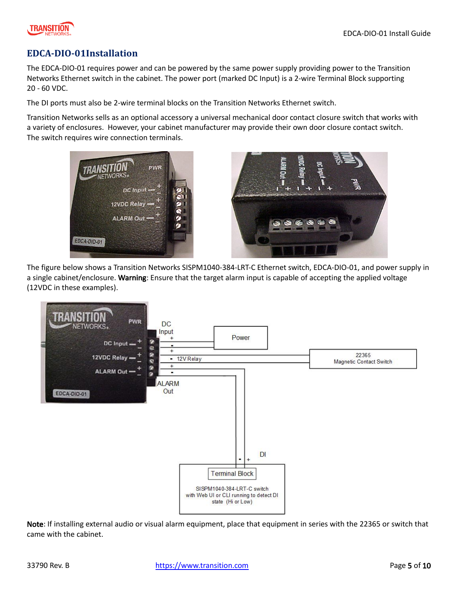



#### <span id="page-4-0"></span>**EDCA-DIO-01Installation**

The EDCA-DIO-01 requires power and can be powered by the same power supply providing power to the Transition Networks Ethernet switch in the cabinet. The power port (marked DC Input) is a 2-wire Terminal Block supporting 20 - 60 VDC.

The DI ports must also be 2-wire terminal blocks on the Transition Networks Ethernet switch.

Transition Networks sells as an optional accessory a universal mechanical door contact closure switch that works with a variety of enclosures. However, your cabinet manufacturer may provide their own door closure contact switch. The switch requires wire connection terminals.





The figure below shows a Transition Networks SISPM1040-384-LRT-C Ethernet switch, EDCA-DIO-01, and power supply in a single cabinet/enclosure. Warning: Ensure that the target alarm input is capable of accepting the applied voltage (12VDC in these examples).



Note: If installing external audio or visual alarm equipment, place that equipment in series with the 22365 or switch that came with the cabinet.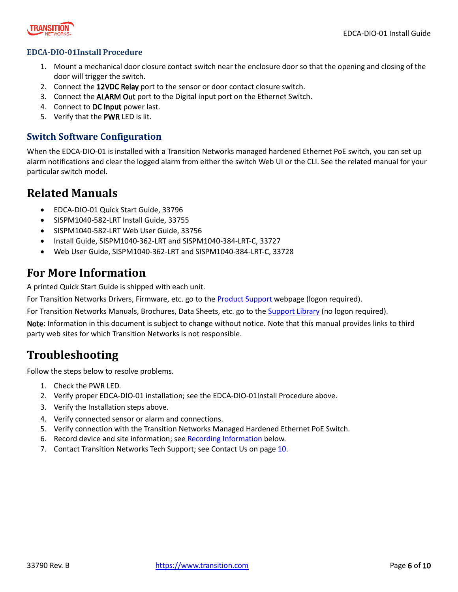

#### <span id="page-5-0"></span>**EDCA-DIO-01Install Procedure**

- 1. Mount a mechanical door closure contact switch near the enclosure door so that the opening and closing of the door will trigger the switch.
- 2. Connect the 12VDC Relay port to the sensor or door contact closure switch.
- 3. Connect the ALARM Out port to the Digital input port on the Ethernet Switch.
- 4. Connect to DC Input power last.
- 5. Verify that the PWR LED is lit.

#### <span id="page-5-1"></span>**Switch Software Configuration**

When the EDCA-DIO-01 is installed with a Transition Networks managed hardened Ethernet PoE switch, you can set up alarm notifications and clear the logged alarm from either the switch Web UI or the CLI. See the related manual for your particular switch model.

## <span id="page-5-2"></span>**Related Manuals**

- EDCA-DIO-01 Quick Start Guide, 33796
- SISPM1040-582-LRT Install Guide, 33755
- SISPM1040-582-LRT Web User Guide, 33756
- Install Guide, SISPM1040-362-LRT and SISPM1040-384-LRT-C, 33727
- Web User Guide, SISPM1040-362-LRT and SISPM1040-384-LRT-C, 33728

## <span id="page-5-3"></span>**For More Information**

A printed Quick Start Guide is shipped with each unit.

For Transition Networks Drivers, Firmware, etc. go to th[e Product Support](https://www.transition.com/support/product-support/) webpage (logon required).

For Transition Networks Manuals, Brochures, Data Sheets, etc. go to th[e Support Library](https://www.transition.com/support/library/) (no logon required).

Note: Information in this document is subject to change without notice. Note that this manual provides links to third party web sites for which Transition Networks is not responsible.

# <span id="page-5-4"></span>**Troubleshooting**

Follow the steps below to resolve problems.

- 1. Check the PWR LED.
- 2. Verify proper EDCA-DIO-01 installation; see the EDCA-DIO-01Install Procedure above.
- 3. Verify the Installation steps above.
- 4. Verify connected sensor or alarm and connections.
- 5. Verify connection with the Transition Networks Managed Hardened Ethernet PoE Switch.
- 6. Record device and site information; see Recording Information below.
- 7. Contact Transition Networks Tech Support; see [Contact Us](#page-9-0) on pag[e 10.](#page-9-0)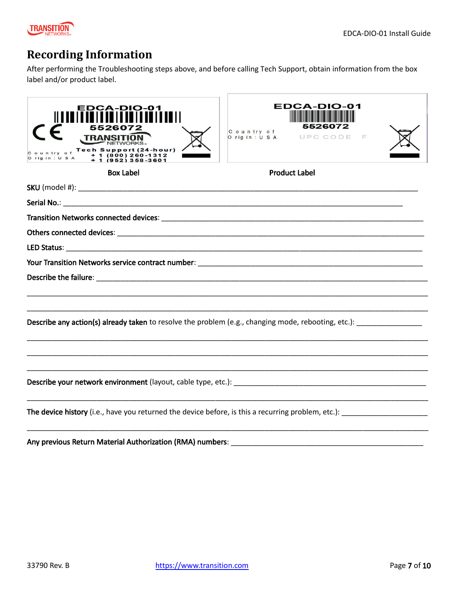

# <span id="page-6-0"></span>**Recording Information**

After performing the Troubleshooting steps above, and before calling Tech Support, obtain information from the box label and/or product label.

| EDCA-DIO-01<br>TRANSITION<br>Country of Tech Support (24-hour)<br>Origin: U.S.A + 1 (952) 260-1312<br>+ 1 (952) 358-2601 | <b>FDCA-DIO</b><br>552607<br>Country of<br>Origin: USA UPC CODE |  |
|--------------------------------------------------------------------------------------------------------------------------|-----------------------------------------------------------------|--|
| <b>Box Label</b>                                                                                                         | <b>Product Label</b>                                            |  |
|                                                                                                                          |                                                                 |  |
|                                                                                                                          |                                                                 |  |
|                                                                                                                          |                                                                 |  |
|                                                                                                                          |                                                                 |  |
|                                                                                                                          |                                                                 |  |
|                                                                                                                          |                                                                 |  |
|                                                                                                                          |                                                                 |  |
|                                                                                                                          |                                                                 |  |
|                                                                                                                          |                                                                 |  |
| Describe any action(s) already taken to resolve the problem (e.g., changing mode, rebooting, etc.):                      |                                                                 |  |
|                                                                                                                          |                                                                 |  |
|                                                                                                                          |                                                                 |  |
|                                                                                                                          |                                                                 |  |
| The device history (i.e., have you returned the device before, is this a recurring problem, etc.):                       |                                                                 |  |
|                                                                                                                          |                                                                 |  |

Any previous Return Material Authorization (RMA) numbers: \_\_\_\_\_\_\_\_\_\_\_\_\_\_\_\_\_\_\_\_\_\_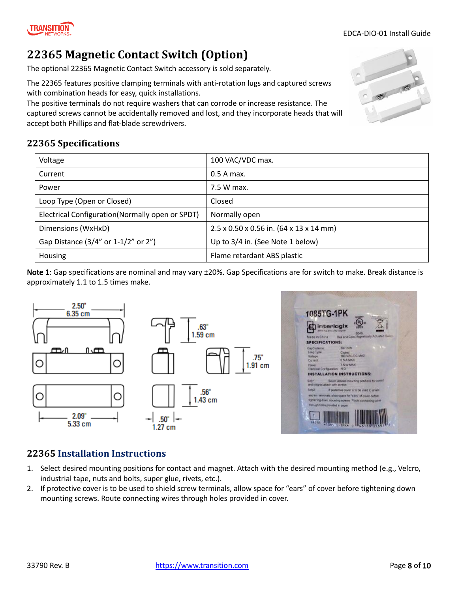### Current 2.5 A max.

with combination heads for easy, quick installations.

accept both Phillips and flat-blade screwdrivers.

<span id="page-7-1"></span>**22365 Specifications**

 $2.50"$ 

6.35 cm

 $2.09"$ 

5.33 cm

കഥ

O

С

<span id="page-7-0"></span>**22365 Magnetic Contact Switch (Option)**

The optional 22365 Magnetic Contact Switch accessory is sold separately.

Voltage 200 100 VAC/VDC max.

Power 2.5 W max.

Electrical Configuration(Normally open or SPDT) | Normally open

Loop Type (Open or Closed) Closed

The 22365 features positive clamping terminals with anti-rotation lugs and captured screws

The positive terminals do not require washers that can corrode or increase resistance. The

Dimensions (WxHxD) 2.5 x 0.50 x 0.56 in. (64 x 13 x 14 mm)

Gap Distance  $(3/4"$  or  $1-1/2"$  or  $2"$ ) Up to  $3/4$  in. (See Note 1 below)

Housing Flame retardant ABS plastic

.50"

 $1.27$  cm

Note 1: Gap specifications are nominal and may vary ±20%. Gap Specifications are for switch to make. Break distance is approximately 1.1 to 1.5 times make.

75"

 $1.91$  cm

 $.63"$ 1.59 cm

.56'

1.43 cm

# <span id="page-7-2"></span>**22365 Installation Instructions**

心面

О

О

- 1. Select desired mounting positions for contact and magnet. Attach with the desired mounting method (e.g., Velcro, industrial tape, nuts and bolts, super glue, rivets, etc.).
- 2. If protective cover is to be used to shield screw terminals, allow space for "ears" of cover before tightening down mounting screws. Route connecting wires through holes provided in cover.





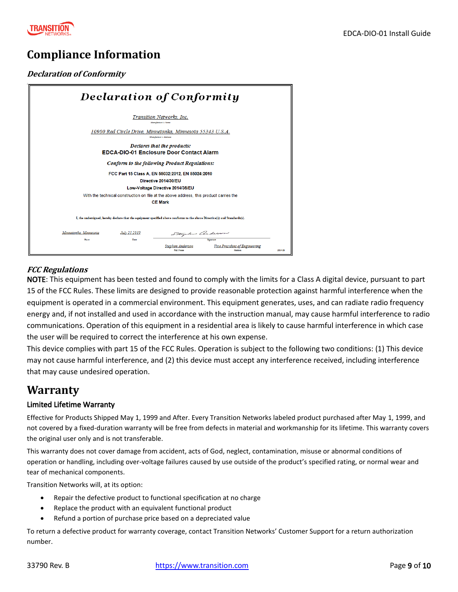

# <span id="page-8-0"></span>**Compliance Information**

#### **Declaration of Conformity**

| <b>Declaration of Conformity</b> |              |                                                                                                                            |                                                                     |        |
|----------------------------------|--------------|----------------------------------------------------------------------------------------------------------------------------|---------------------------------------------------------------------|--------|
|                                  |              | Transition Networks, Inc.<br>Manufacture's Name                                                                            |                                                                     |        |
|                                  |              | 10900 Red Circle Drive, Minnetonka, Minnesota 55343 U.S.A.<br>Manufacture's Address                                        |                                                                     |        |
|                                  |              | Declares that the products:<br><b>EDCA-DIO-01 Enclosure Door Contact Alarm</b>                                             |                                                                     |        |
|                                  |              | <b>Conform to the following Product Regulations:</b>                                                                       |                                                                     |        |
|                                  |              | FCC Part 15 Class A. EN 55032:2012. EN 55024:2010<br>Directive 2014/30/EU                                                  |                                                                     |        |
|                                  |              | Low-Voltage Directive 2014/35/EU<br>With the technical construction on file at the above address, this product carries the |                                                                     |        |
|                                  |              | <b>CE Mark</b>                                                                                                             |                                                                     |        |
|                                  |              | I, the undersigned, hereby declare that the equipment specified above conforms to the above Directive(s) and Standards(s). |                                                                     |        |
| Minnetonka, Minnesota            | July 25,2019 | Stephen Anderson                                                                                                           |                                                                     |        |
| Pace                             | Date         | <b>Stephen Anderson</b><br><b>Full Name</b>                                                                                | Simutace<br><b>Vice President of Engineering</b><br><b>Position</b> | 28141B |

#### **FCC Regulations**

NOTE: This equipment has been tested and found to comply with the limits for a Class A digital device, pursuant to part 15 of the FCC Rules. These limits are designed to provide reasonable protection against harmful interference when the equipment is operated in a commercial environment. This equipment generates, uses, and can radiate radio frequency energy and, if not installed and used in accordance with the instruction manual, may cause harmful interference to radio communications. Operation of this equipment in a residential area is likely to cause harmful interference in which case the user will be required to correct the interference at his own expense.

This device complies with part 15 of the FCC Rules. Operation is subject to the following two conditions: (1) This device may not cause harmful interference, and (2) this device must accept any interference received, including interference that may cause undesired operation.

## <span id="page-8-1"></span>**Warranty**

#### Limited Lifetime Warranty

Effective for Products Shipped May 1, 1999 and After. Every Transition Networks labeled product purchased after May 1, 1999, and not covered by a fixed-duration warranty will be free from defects in material and workmanship for its lifetime. This warranty covers the original user only and is not transferable.

This warranty does not cover damage from accident, acts of God, neglect, contamination, misuse or abnormal conditions of operation or handling, including over-voltage failures caused by use outside of the product's specified rating, or normal wear and tear of mechanical components.

Transition Networks will, at its option:

- Repair the defective product to functional specification at no charge
- Replace the product with an equivalent functional product
- Refund a portion of purchase price based on a depreciated value

To return a defective product for warranty coverage, contact Transition Networks' Customer Support for a return authorization number.